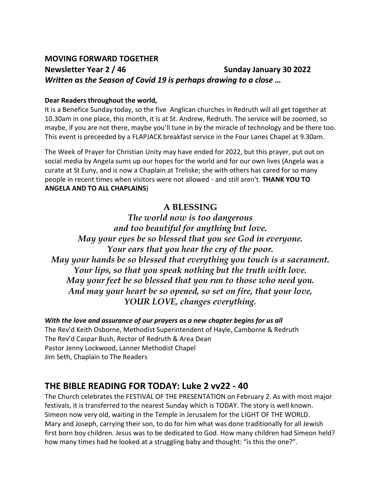### **MOVING FORWARD TOGETHER Newsletter Year 2 / 46 Sunday January 30 2022**  *Written as the Season of Covid 19 is perhaps drawing to a close …*

#### **Dear Readers throughout the world,**

It is a Benefice Sunday today, so the five Anglican churches in Redruth will all get together at 10.30am in one place, this month, it is at St. Andrew, Redruth. The service will be zoomed, so maybe, if you are not there, maybe you'll tune in by the miracle of technology and be there too. This event is preceeded by a FLAPJACK breakfast service in the Four Lanes Chapel at 9.30am.

The Week of Prayer for Christian Unity may have ended for 2022, but this prayer, put out on social media by Angela sums up our hopes for the world and for our own lives (Angela was a curate at St Euny, and is now a Chaplain at Treliske; she with others has cared for so many people in recent times when visitors were not allowed - and still aren't. **THANK YOU TO ANGELA AND TO ALL CHAPLAINS**)

### **A BLESSING**

*The world now is too dangerous and too beautiful for anything but love. May your eyes be so blessed that you see God in everyone. Your ears that you hear the cry of the poor. May your hands be so blessed that everything you touch is a sacrament. Your lips, so that you speak nothing but the truth with love. May your feet be so blessed that you run to those who need you. And may your heart be so opened, so set on fire, that your love, YOUR LOVE, changes everything.* 

*With the love and assurance of our prayers as a new chapter begins for us all*  The Rev'd Keith Osborne, Methodist Superintendent of Hayle, Camborne & Redruth The Rev'd Caspar Bush, Rector of Redruth & Area Dean Pastor Jenny Lockwood, Lanner Methodist Chapel Jim Seth, Chaplain to The Readers

### **THE BIBLE READING FOR TODAY: Luke 2 vv22 - 40**

The Church celebrates the FESTIVAL OF THE PRESENTATION on February 2. As with most major festivals, it is transferred to the nearest Sunday which is TODAY. The story is well known. Simeon now very old, waiting in the Temple in Jerusalem for the LIGHT OF THE WORLD. Mary and Joseph, carrying their son, to do for him what was done traditionally for all Jewish first born boy children. Jesus was to be dedicated to God. How many children had Simeon held? how many times had he looked at a struggling baby and thought: "is this the one?".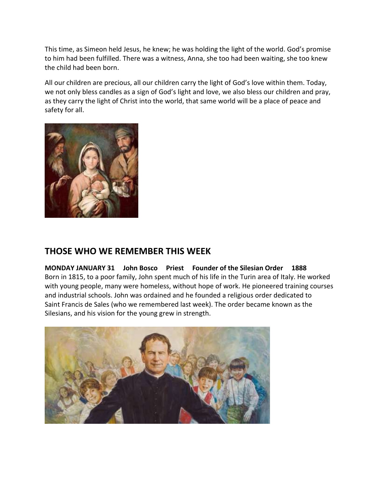This time, as Simeon held Jesus, he knew; he was holding the light of the world. God's promise to him had been fulfilled. There was a witness, Anna, she too had been waiting, she too knew the child had been born.

All our children are precious, all our children carry the light of God's love within them. Today, we not only bless candles as a sign of God's light and love, we also bless our children and pray, as they carry the light of Christ into the world, that same world will be a place of peace and safety for all.



### **THOSE WHO WE REMEMBER THIS WEEK**

**MONDAY JANUARY 31 John Bosco Priest Founder of the Silesian Order 1888** Born in 1815, to a poor family, John spent much of his life in the Turin area of Italy. He worked with young people, many were homeless, without hope of work. He pioneered training courses and industrial schools. John was ordained and he founded a religious order dedicated to Saint Francis de Sales (who we remembered last week). The order became known as the Silesians, and his vision for the young grew in strength.

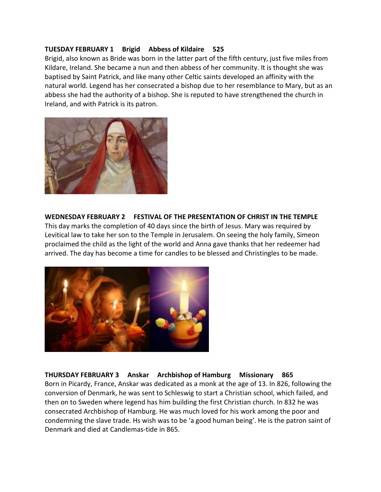#### **TUESDAY FEBRUARY 1 Brigid Abbess of Kildaire 525**

Brigid, also known as Bride was born in the latter part of the fifth century, just five miles from Kildare, Ireland. She became a nun and then abbess of her community. It is thought she was baptised by Saint Patrick, and like many other Celtic saints developed an affinity with the natural world. Legend has her consecrated a bishop due to her resemblance to Mary, but as an abbess she had the authority of a bishop. She is reputed to have strengthened the church in Ireland, and with Patrick is its patron.



#### **WEDNESDAY FEBRUARY 2 FESTIVAL OF THE PRESENTATION OF CHRIST IN THE TEMPLE**

This day marks the completion of 40 days since the birth of Jesus. Mary was required by Levitical law to take her son to the Temple in Jerusalem. On seeing the holy family, Simeon proclaimed the child as the light of the world and Anna gave thanks that her redeemer had arrived. The day has become a time for candles to be blessed and Christingles to be made.



#### **THURSDAY FEBRUARY 3 Anskar Archbishop of Hamburg Missionary 865** Born in Picardy, France, Anskar was dedicated as a monk at the age of 13. In 826, following the conversion of Denmark, he was sent to Schleswig to start a Christian school, which failed, and then on to Sweden where legend has him building the first Christian church. In 832 he was consecrated Archbishop of Hamburg. He was much loved for his work among the poor and condemning the slave trade. Hs wish was to be 'a good human being'. He is the patron saint of Denmark and died at Candlemas-tide in 865.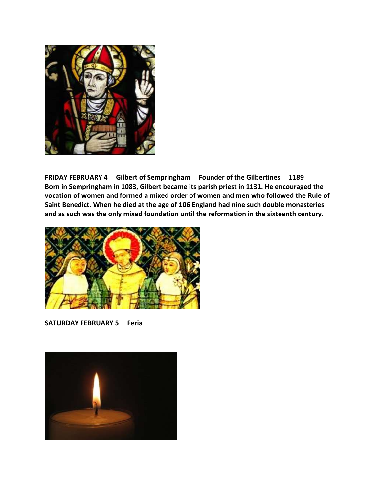

**FRIDAY FEBRUARY 4 Gilbert of Sempringham Founder of the Gilbertines 1189 Born in Sempringham in 1083, Gilbert became its parish priest in 1131. He encouraged the vocation of women and formed a mixed order of women and men who followed the Rule of Saint Benedict. When he died at the age of 106 England had nine such double monasteries and as such was the only mixed foundation until the reformation in the sixteenth century.** 



**SATURDAY FEBRUARY 5 Feria** 

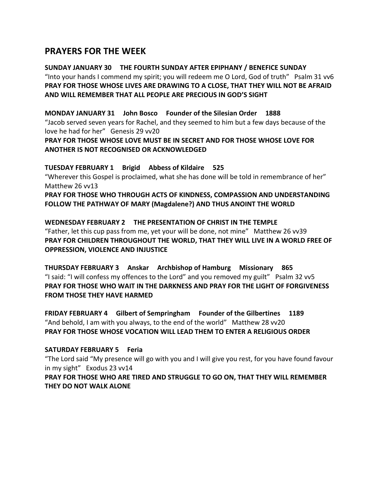### **PRAYERS FOR THE WEEK**

#### **SUNDAY JANUARY 30 THE FOURTH SUNDAY AFTER EPIPHANY / BENEFICE SUNDAY** "Into your hands I commend my spirit; you will redeem me O Lord, God of truth" Psalm 31 vv6 **PRAY FOR THOSE WHOSE LIVES ARE DRAWING TO A CLOSE, THAT THEY WILL NOT BE AFRAID AND WILL REMEMBER THAT ALL PEOPLE ARE PRECIOUS IN GOD'S SIGHT**

#### **MONDAY JANUARY 31 John Bosco Founder of the Silesian Order 1888**

"Jacob served seven years for Rachel, and they seemed to him but a few days because of the love he had for her" Genesis 29 vv20

#### **PRAY FOR THOSE WHOSE LOVE MUST BE IN SECRET AND FOR THOSE WHOSE LOVE FOR ANOTHER IS NOT RECOGNISED OR ACKNOWLEDGED**

#### **TUESDAY FEBRUARY 1 Brigid Abbess of Kildaire 525**

"Wherever this Gospel is proclaimed, what she has done will be told in remembrance of her" Matthew 26 vv13

**PRAY FOR THOSE WHO THROUGH ACTS OF KINDNESS, COMPASSION AND UNDERSTANDING FOLLOW THE PATHWAY OF MARY (Magdalene?) AND THUS ANOINT THE WORLD**

#### **WEDNESDAY FEBRUARY 2 THE PRESENTATION OF CHRIST IN THE TEMPLE**

"Father, let this cup pass from me, yet your will be done, not mine" Matthew 26 vv39 **PRAY FOR CHILDREN THROUGHOUT THE WORLD, THAT THEY WILL LIVE IN A WORLD FREE OF OPPRESSION, VIOLENCE AND INJUSTICE**

**THURSDAY FEBRUARY 3 Anskar Archbishop of Hamburg Missionary 865**  "I said: "I will confess my offences to the Lord" and you removed my guilt" Psalm 32 vv5 **PRAY FOR THOSE WHO WAIT IN THE DARKNESS AND PRAY FOR THE LIGHT OF FORGIVENESS FROM THOSE THEY HAVE HARMED**

**FRIDAY FEBRUARY 4 Gilbert of Sempringham Founder of the Gilbertines 1189** "And behold, I am with you always, to the end of the world" Matthew 28 vv20 **PRAY FOR THOSE WHOSE VOCATION WILL LEAD THEM TO ENTER A RELIGIOUS ORDER**

#### **SATURDAY FEBRUARY 5 Feria**

"The Lord said "My presence will go with you and I will give you rest, for you have found favour in my sight" Exodus 23 vv14

**PRAY FOR THOSE WHO ARE TIRED AND STRUGGLE TO GO ON, THAT THEY WILL REMEMBER THEY DO NOT WALK ALONE**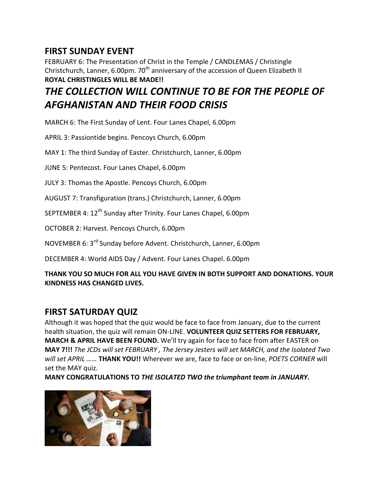## **FIRST SUNDAY EVENT**

FEBRUARY 6: The Presentation of Christ in the Temple / CANDLEMAS / Christingle Christchurch, Lanner, 6.00pm.  $70<sup>th</sup>$  anniversary of the accession of Queen Elizabeth II **ROYAL CHRISTINGLES WILL BE MADE!!**

# *THE COLLECTION WILL CONTINUE TO BE FOR THE PEOPLE OF AFGHANISTAN AND THEIR FOOD CRISIS*

MARCH 6: The First Sunday of Lent. Four Lanes Chapel, 6.00pm

APRIL 3: Passiontide begins. Pencoys Church, 6.00pm

MAY 1: The third Sunday of Easter. Christchurch, Lanner, 6.00pm

JUNE 5: Pentecost. Four Lanes Chapel, 6.00pm

JULY 3: Thomas the Apostle. Pencoys Church, 6.00pm

AUGUST 7: Transfiguration (trans.) Christchurch, Lanner, 6.00pm

SEPTEMBER 4: 12<sup>th</sup> Sunday after Trinity. Four Lanes Chapel, 6.00pm

OCTOBER 2: Harvest. Pencoys Church, 6.00pm

NOVEMBER 6: 3rd Sunday before Advent. Christchurch, Lanner, 6.00pm

DECEMBER 4: World AIDS Day / Advent. Four Lanes Chapel. 6.00pm

**THANK YOU SO MUCH FOR ALL YOU HAVE GIVEN IN BOTH SUPPORT AND DONATIONS. YOUR KINDNESS HAS CHANGED LIVES.** 

### **FIRST SATURDAY QUIZ**

Although it was hoped that the quiz would be face to face from January, due to the current health situation, the quiz will remain ON-LINE. **VOLUNTEER QUIZ SETTERS FOR FEBRUARY, MARCH & APRIL HAVE BEEN FOUND.** We'll try again for face to face from after EASTER on **MAY 7!!!** *The JCDs will set FEBRUARY , The Jersey Jesters will set MARCH, and the Isolated Two will set APRIL ……* **THANK YOU!!** Wherever we are, face to face or on-line, *POETS CORNER* will set the MAY quiz.

**MANY CONGRATULATIONS TO** *THE ISOLATED TWO the triumphant team in JANUARY.* 

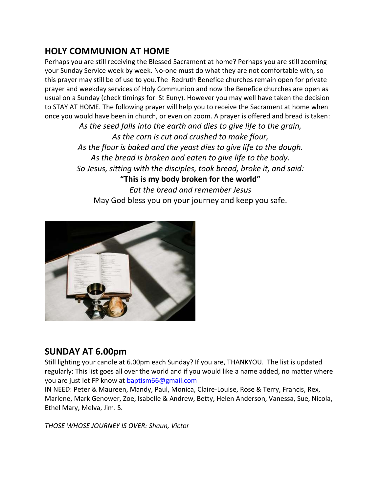## **HOLY COMMUNION AT HOME**

Perhaps you are still receiving the Blessed Sacrament at home? Perhaps you are still zooming your Sunday Service week by week. No-one must do what they are not comfortable with, so this prayer may still be of use to you.The Redruth Benefice churches remain open for private prayer and weekday services of Holy Communion and now the Benefice churches are open as usual on a Sunday (check timings for St Euny). However you may well have taken the decision to STAY AT HOME. The following prayer will help you to receive the Sacrament at home when once you would have been in church, or even on zoom. A prayer is offered and bread is taken:

> *As the seed falls into the earth and dies to give life to the grain, As the corn is cut and crushed to make flour, As the flour is baked and the yeast dies to give life to the dough. As the bread is broken and eaten to give life to the body. So Jesus, sitting with the disciples, took bread, broke it, and said:* **"This is my body broken for the world"** *Eat the bread and remember Jesus* May God bless you on your journey and keep you safe.



### **SUNDAY AT 6.00pm**

Still lighting your candle at 6.00pm each Sunday? If you are, THANKYOU. The list is updated regularly: This list goes all over the world and if you would like a name added, no matter where you are just let FP know at **baptism66@gmail.com** 

IN NEED: Peter & Maureen, Mandy, Paul, Monica, Claire-Louise, Rose & Terry, Francis, Rex, Marlene, Mark Genower, Zoe, Isabelle & Andrew, Betty, Helen Anderson, Vanessa, Sue, Nicola, Ethel Mary, Melva, Jim. S.

*THOSE WHOSE JOURNEY IS OVER: Shaun, Victor*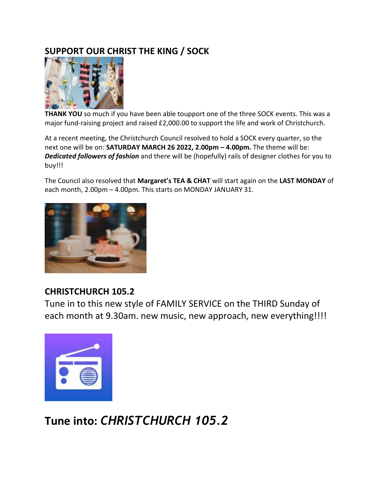## **SUPPORT OUR CHRIST THE KING / SOCK**



**THANK YOU** so much if you have been able toupport one of the three SOCK events. This was a major fund-raising project and raised £2,000.00 to support the life and work of Christchurch.

At a recent meeting, the Christchurch Council resolved to hold a SOCK every quarter, so the next one will be on: **SATURDAY MARCH 26 2022, 2.00pm – 4.00pm.** The theme will be: *Dedicated followers of fashion* and there will be (hopefully) rails of designer clothes for you to buy!!!

The Council also resolved that **Margaret's TEA & CHAT** will start again on the **LAST MONDAY** of each month, 2.00pm – 4.00pm. This starts on MONDAY JANUARY 31.



## **CHRISTCHURCH 105.2**

Tune in to this new style of FAMILY SERVICE on the THIRD Sunday of each month at 9.30am. new music, new approach, new everything!!!!



**Tune into:** *CHRISTCHURCH 105.2*